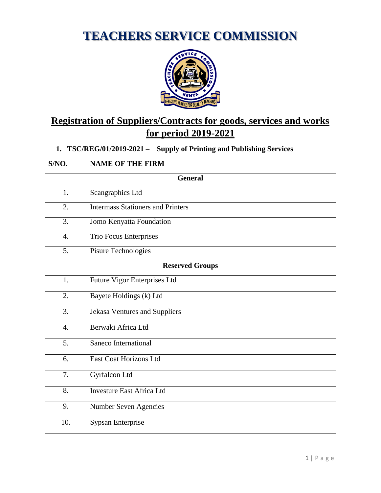**TEACHERS SERVICE COMMISSION**



# **Registration of Suppliers/Contracts for goods, services and works for period 2019-2021**

# **1. TSC/REG/01/2019-2021 – Supply of Printing and Publishing Services**

| S/NO.                  | <b>NAME OF THE FIRM</b>                  |
|------------------------|------------------------------------------|
|                        | <b>General</b>                           |
| 1.                     | Scangraphics Ltd                         |
| 2.                     | <b>Intermass Stationers and Printers</b> |
| 3.                     | Jomo Kenyatta Foundation                 |
| 4.                     | <b>Trio Focus Enterprises</b>            |
| 5 <sub>1</sub>         | Pisure Technologies                      |
| <b>Reserved Groups</b> |                                          |
| 1.                     | Future Vigor Enterprises Ltd             |
| 2.                     | Bayete Holdings (k) Ltd                  |
| $\overline{3}$ .       | <b>Jekasa Ventures and Suppliers</b>     |
| $\overline{4}$ .       | Berwaki Africa Ltd                       |
| 5.                     | Saneco International                     |
| 6.                     | <b>East Coat Horizons Ltd</b>            |
| 7.                     | Gyrfalcon Ltd                            |
| 8.                     | <b>Investure East Africa Ltd</b>         |
| 9.                     | Number Seven Agencies                    |
| 10.                    | Sypsan Enterprise                        |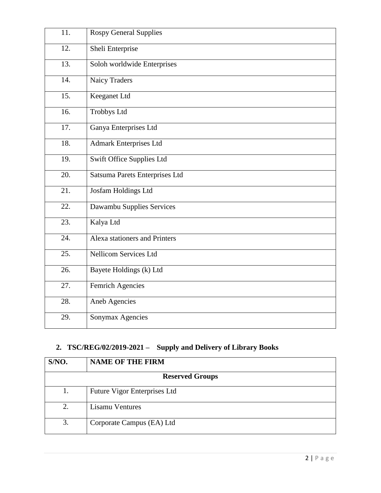| 11. | <b>Rospy General Supplies</b>        |
|-----|--------------------------------------|
| 12. | Sheli Enterprise                     |
| 13. | Soloh worldwide Enterprises          |
| 14. | <b>Naicy Traders</b>                 |
| 15. | Keeganet Ltd                         |
| 16. | <b>Trobbys Ltd</b>                   |
| 17. | Ganya Enterprises Ltd                |
| 18. | <b>Admark Enterprises Ltd</b>        |
| 19. | Swift Office Supplies Ltd            |
| 20. | Satsuma Parets Enterprises Ltd       |
| 21. | Josfam Holdings Ltd                  |
| 22. | Dawambu Supplies Services            |
| 23. | Kalya Ltd                            |
| 24. | <b>Alexa stationers and Printers</b> |
| 25. | <b>Nellicom Services Ltd</b>         |
| 26. | Bayete Holdings (k) Ltd              |
| 27. | <b>Femrich Agencies</b>              |
| 28. | <b>Aneb Agencies</b>                 |
| 29. | Sonymax Agencies                     |

# **2. TSC/REG/02/2019-2021 – Supply and Delivery of Library Books**

| S/NO.                  | <b>NAME OF THE FIRM</b>      |
|------------------------|------------------------------|
| <b>Reserved Groups</b> |                              |
| 1.                     | Future Vigor Enterprises Ltd |
| 2.                     | <b>Lisamu Ventures</b>       |
| 3.                     | Corporate Campus (EA) Ltd    |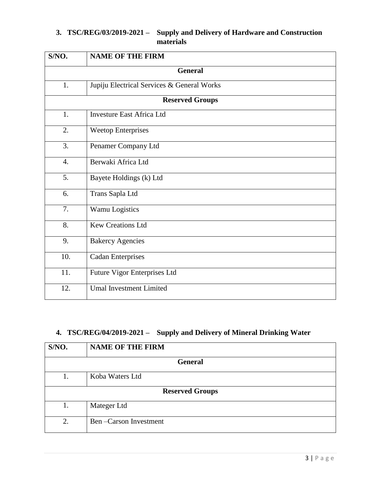## **3. TSC/REG/03/2019-2021 – Supply and Delivery of Hardware and Construction materials**

| S/NO.            | <b>NAME OF THE FIRM</b>                    |
|------------------|--------------------------------------------|
|                  | <b>General</b>                             |
| 1.               | Jupiju Electrical Services & General Works |
|                  | <b>Reserved Groups</b>                     |
| 1.               | <b>Investure East Africa Ltd</b>           |
| $\overline{2}$ . | <b>Weetop Enterprises</b>                  |
| 3.               | Penamer Company Ltd                        |
| $\overline{4}$ . | Berwaki Africa Ltd                         |
| 5.               | Bayete Holdings (k) Ltd                    |
| 6.               | Trans Sapla Ltd                            |
| 7.               | Wamu Logistics                             |
| 8.               | <b>Kew Creations Ltd</b>                   |
| 9.               | <b>Bakercy Agencies</b>                    |
| 10.              | <b>Cadan Enterprises</b>                   |
| 11.              | Future Vigor Enterprises Ltd               |
| 12.              | <b>Umal Investment Limited</b>             |

# **4. TSC/REG/04/2019-2021 – Supply and Delivery of Mineral Drinking Water**

| S/NO.                  | <b>NAME OF THE FIRM</b> |
|------------------------|-------------------------|
| <b>General</b>         |                         |
| 1.                     | Koba Waters Ltd         |
| <b>Reserved Groups</b> |                         |
| 1.                     | Mateger Ltd             |
| 2.                     | Ben-Carson Investment   |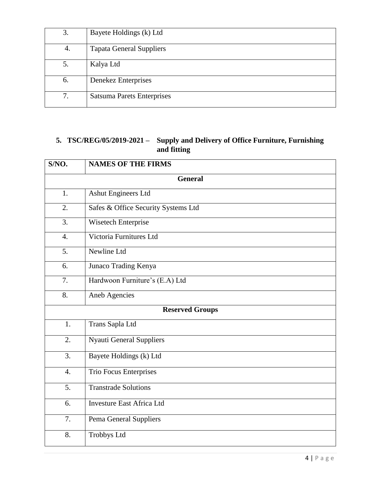| 3. | Bayete Holdings (k) Ltd           |
|----|-----------------------------------|
| 4. | <b>Tapata General Suppliers</b>   |
| 5. | Kalya Ltd                         |
| 6. | Denekez Enterprises               |
| 7. | <b>Satsuma Parets Enterprises</b> |

# **5. TSC/REG/05/2019-2021 – Supply and Delivery of Office Furniture, Furnishing and fitting**

| S/NO.                  | <b>NAMES OF THE FIRMS</b>           |
|------------------------|-------------------------------------|
|                        | <b>General</b>                      |
| 1.                     | <b>Ashut Engineers Ltd</b>          |
| $\overline{2}$ .       | Safes & Office Security Systems Ltd |
| $\overline{3}$ .       | Wisetech Enterprise                 |
| $\overline{4}$ .       | Victoria Furnitures Ltd             |
| 5.                     | Newline Ltd                         |
| 6.                     | Junaco Trading Kenya                |
| 7.                     | Hardwoon Furniture's (E.A) Ltd      |
| 8.                     | Aneb Agencies                       |
| <b>Reserved Groups</b> |                                     |
| 1.                     | Trans Sapla Ltd                     |
| 2.                     | <b>Nyauti General Suppliers</b>     |
| 3.                     | Bayete Holdings (k) Ltd             |
| $\overline{4}$ .       | Trio Focus Enterprises              |
| $\overline{5}$ .       | <b>Transtrade Solutions</b>         |
| 6.                     | <b>Investure East Africa Ltd</b>    |
| 7.                     | Pema General Suppliers              |
| 8.                     | <b>Trobbys Ltd</b>                  |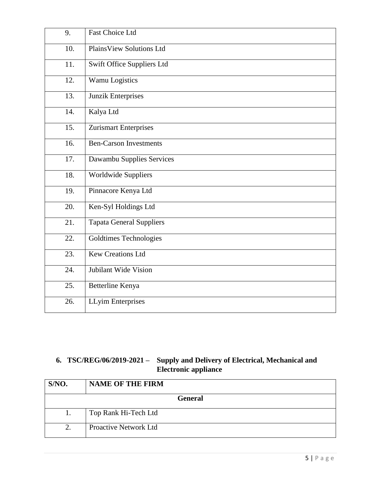| 9.  | <b>Fast Choice Ltd</b>            |
|-----|-----------------------------------|
| 10. | <b>PlainsView Solutions Ltd</b>   |
| 11. | <b>Swift Office Suppliers Ltd</b> |
| 12. | Wamu Logistics                    |
| 13. | <b>Junzik Enterprises</b>         |
| 14. | Kalya Ltd                         |
| 15. | <b>Zurismart Enterprises</b>      |
| 16. | <b>Ben-Carson Investments</b>     |
| 17. | Dawambu Supplies Services         |
| 18. | Worldwide Suppliers               |
| 19. | Pinnacore Kenya Ltd               |
| 20. | Ken-Syl Holdings Ltd              |
| 21. | <b>Tapata General Suppliers</b>   |
| 22. | Goldtimes Technologies            |
| 23. | <b>Kew Creations Ltd</b>          |
| 24. | Jubilant Wide Vision              |
| 25. | Betterline Kenya                  |
| 26. | <b>LLyim Enterprises</b>          |

### **6. TSC/REG/06/2019-2021 – Supply and Delivery of Electrical, Mechanical and Electronic appliance**

| S/NO.               | <b>NAME OF THE FIRM</b>      |
|---------------------|------------------------------|
| <b>General</b>      |                              |
| I.                  | Top Rank Hi-Tech Ltd         |
| $\mathcal{D}$<br>۷. | <b>Proactive Network Ltd</b> |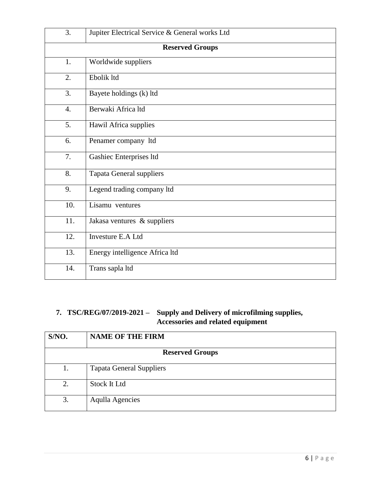| 3.               | Jupiter Electrical Service & General works Ltd |
|------------------|------------------------------------------------|
|                  | <b>Reserved Groups</b>                         |
| 1.               | Worldwide suppliers                            |
| 2.               | Ebolik ltd                                     |
| 3.               | Bayete holdings (k) ltd                        |
| $\overline{4}$ . | Berwaki Africa ltd                             |
| 5.               | Hawil Africa supplies                          |
| 6.               | Penamer company ltd                            |
| 7.               | Gashiec Enterprises ltd                        |
| 8.               | <b>Tapata General suppliers</b>                |
| 9.               | Legend trading company ltd                     |
| 10.              | Lisamu ventures                                |
| 11.              | Jakasa ventures & suppliers                    |
| 12.              | Investure E.A Ltd                              |
| 13.              | Energy intelligence Africa ltd                 |
| 14.              | Trans sapla ltd                                |

# **7. TSC/REG/07/2019-2021 – Supply and Delivery of microfilming supplies, Accessories and related equipment**

| S/NO.                  | <b>NAME OF THE FIRM</b>         |
|------------------------|---------------------------------|
| <b>Reserved Groups</b> |                                 |
| 1.                     | <b>Tapata General Suppliers</b> |
| 2.                     | <b>Stock It Ltd</b>             |
| 3.                     | <b>Aqulla Agencies</b>          |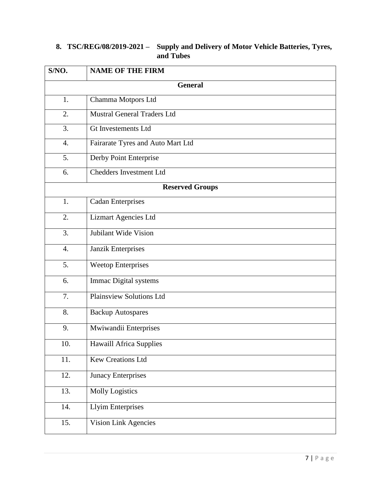#### **8. TSC/REG/08/2019-2021 – Supply and Delivery of Motor Vehicle Batteries, Tyres, and Tubes**

| S/NO. | <b>NAME OF THE FIRM</b>            |
|-------|------------------------------------|
|       | <b>General</b>                     |
| 1.    | Chamma Motpors Ltd                 |
| 2.    | <b>Mustral General Traders Ltd</b> |
| 3.    | <b>Gt Investements Ltd</b>         |
| 4.    | Fairarate Tyres and Auto Mart Ltd  |
| 5.    | Derby Point Enterprise             |
| 6.    | <b>Chedders Investment Ltd</b>     |
|       | <b>Reserved Groups</b>             |
| 1.    | <b>Cadan Enterprises</b>           |
| 2.    | <b>Lizmart Agencies Ltd</b>        |
| 3.    | Jubilant Wide Vision               |
| 4.    | Janzik Enterprises                 |
| 5.    | <b>Weetop Enterprises</b>          |
| 6.    | Immac Digital systems              |
| 7.    | <b>Plainsview Solutions Ltd</b>    |
| 8.    | <b>Backup Autospares</b>           |
| 9.    | Mwiwandii Enterprises              |
| 10.   | <b>Hawaill Africa Supplies</b>     |
| 11.   | <b>Kew Creations Ltd</b>           |
| 12.   | Junacy Enterprises                 |
| 13.   | <b>Molly Logistics</b>             |
| 14.   | <b>Llyim Enterprises</b>           |
| 15.   | <b>Vision Link Agencies</b>        |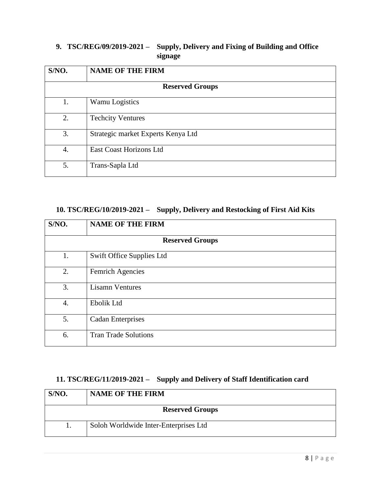# **9. TSC/REG/09/2019-2021 – Supply, Delivery and Fixing of Building and Office signage**

| S/NO.                  | <b>NAME OF THE FIRM</b>            |
|------------------------|------------------------------------|
| <b>Reserved Groups</b> |                                    |
| 1.                     | Wamu Logistics                     |
| 2.                     | <b>Techcity Ventures</b>           |
| 3.                     | Strategic market Experts Kenya Ltd |
| 4.                     | <b>East Coast Horizons Ltd</b>     |
| 5.                     | Trans-Sapla Ltd                    |

#### **10. TSC/REG/10/2019-2021 – Supply, Delivery and Restocking of First Aid Kits**

| S/NO. | <b>NAME OF THE FIRM</b>     |  |
|-------|-----------------------------|--|
|       | <b>Reserved Groups</b>      |  |
| 1.    | Swift Office Supplies Ltd   |  |
| 2.    | Femrich Agencies            |  |
| 3.    | <b>Lisamn Ventures</b>      |  |
| 4.    | Ebolik Ltd                  |  |
| 5.    | <b>Cadan Enterprises</b>    |  |
| 6.    | <b>Tran Trade Solutions</b> |  |

# **11. TSC/REG/11/2019-2021 – Supply and Delivery of Staff Identification card**

| S/NO. | <b>NAME OF THE FIRM</b>               |
|-------|---------------------------------------|
|       | <b>Reserved Groups</b>                |
|       | Soloh Worldwide Inter-Enterprises Ltd |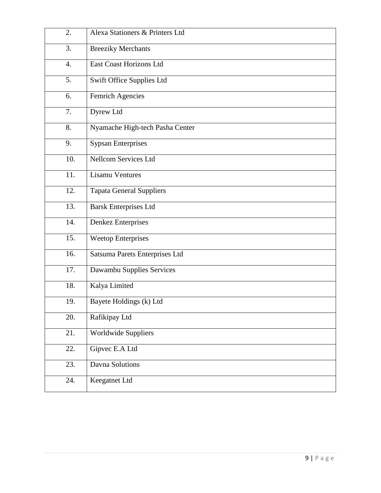| 2.               | Alexa Stationers & Printers Ltd |
|------------------|---------------------------------|
| 3.               | <b>Breeziky Merchants</b>       |
| $\overline{4}$ . | East Coast Horizons Ltd         |
| 5.               | Swift Office Supplies Ltd       |
| 6.               | Femrich Agencies                |
| 7.               | Dyrew Ltd                       |
| 8.               | Nyamache High-tech Pasha Center |
| 9.               | <b>Sypsan Enterprises</b>       |
| 10.              | Nellcom Services Ltd            |
| 11.              | <b>Lisamu Ventures</b>          |
| 12.              | <b>Tapata General Suppliers</b> |
| 13.              | <b>Barsk Enterprises Ltd</b>    |
| 14.              | Denkez Enterprises              |
| 15.              | <b>Weetop Enterprises</b>       |
| 16.              | Satsuma Parets Enterprises Ltd  |
| 17.              | Dawambu Supplies Services       |
| 18.              | Kalya Limited                   |
| 19.              | Bayete Holdings (k) Ltd         |
| 20.              | Rafikipay Ltd                   |
| 21.              | Worldwide Suppliers             |
| 22.              | Gipvec E.A Ltd                  |
| 23.              | Davna Solutions                 |
| 24.              | Keegatnet Ltd                   |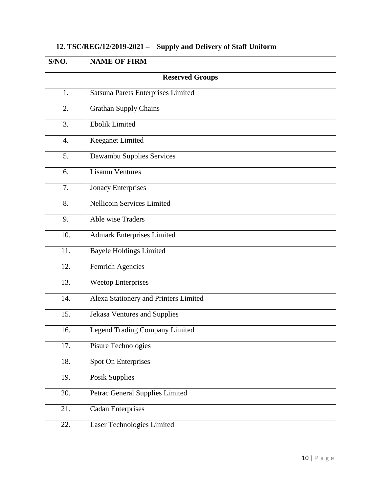| S/NO.                  | <b>NAME OF FIRM</b>                   |
|------------------------|---------------------------------------|
| <b>Reserved Groups</b> |                                       |
| 1.                     | Satsuna Parets Enterprises Limited    |
| 2.                     | <b>Grathan Supply Chains</b>          |
| 3.                     | <b>Ebolik Limited</b>                 |
| $\overline{4}$ .       | Keeganet Limited                      |
| 5.                     | Dawambu Supplies Services             |
| 6.                     | <b>Lisamu Ventures</b>                |
| 7.                     | <b>Jonacy Enterprises</b>             |
| 8.                     | Nellicoin Services Limited            |
| 9.                     | Able wise Traders                     |
| 10.                    | <b>Admark Enterprises Limited</b>     |
| 11.                    | <b>Bayele Holdings Limited</b>        |
| 12.                    | <b>Femrich Agencies</b>               |
| 13.                    | <b>Weetop Enterprises</b>             |
| 14.                    | Alexa Stationery and Printers Limited |
| 15.                    | Jekasa Ventures and Supplies          |
| 16.                    | <b>Legend Trading Company Limited</b> |
| 17.                    | Pisure Technologies                   |
| 18.                    | Spot On Enterprises                   |
| 19.                    | <b>Posik Supplies</b>                 |
| 20.                    | Petrac General Supplies Limited       |
| 21.                    | <b>Cadan Enterprises</b>              |
| 22.                    | Laser Technologies Limited            |

# **12. TSC/REG/12/2019-2021 – Supply and Delivery of Staff Uniform**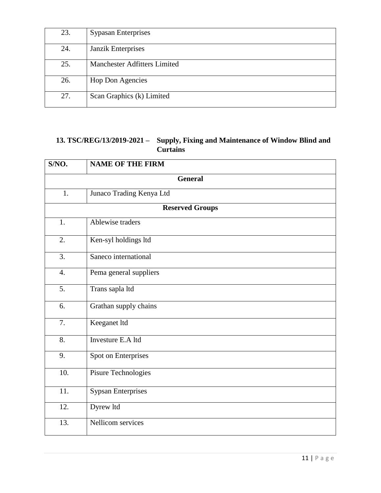| 23. | <b>Sypasan Enterprises</b>   |
|-----|------------------------------|
| 24. | Janzik Enterprises           |
| 25. | Manchester Adfitters Limited |
| 26. | <b>Hop Don Agencies</b>      |
| 27. | Scan Graphics (k) Limited    |

# **13. TSC/REG/13/2019-2021 – Supply, Fixing and Maintenance of Window Blind and Curtains**

| S/NO.            | <b>NAME OF THE FIRM</b>   |
|------------------|---------------------------|
|                  | <b>General</b>            |
| 1.               | Junaco Trading Kenya Ltd  |
|                  | <b>Reserved Groups</b>    |
| 1.               | Ablewise traders          |
| 2.               | Ken-syl holdings ltd      |
| 3.               | Saneco international      |
| $\overline{4}$ . | Pema general suppliers    |
| 5.               | Trans sapla ltd           |
| 6.               | Grathan supply chains     |
| 7.               | Keeganet ltd              |
| 8.               | Investure E.A ltd         |
| 9.               | Spot on Enterprises       |
| 10.              | Pisure Technologies       |
| 11.              | <b>Sypsan Enterprises</b> |
| 12.              | Dyrew ltd                 |
| 13.              | Nellicom services         |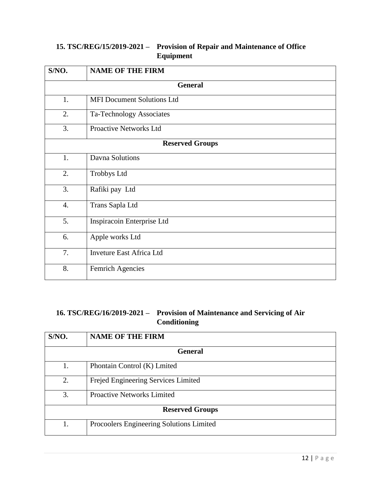# **15. TSC/REG/15/2019-2021 – Provision of Repair and Maintenance of Office Equipment**

| S/NO.                  | <b>NAME OF THE FIRM</b>           |
|------------------------|-----------------------------------|
|                        | <b>General</b>                    |
| 1.                     | <b>MFI Document Solutions Ltd</b> |
| 2.                     | Ta-Technology Associates          |
| 3.                     | Proactive Networks Ltd            |
| <b>Reserved Groups</b> |                                   |
| 1.                     | Davna Solutions                   |
| 2.                     | <b>Trobbys Ltd</b>                |
| 3.                     | Rafiki pay Ltd                    |
| 4.                     | Trans Sapla Ltd                   |
| 5.                     | Inspiracoin Enterprise Ltd        |
| 6.                     | Apple works Ltd                   |
| 7.                     | <b>Inveture East Africa Ltd</b>   |
| 8.                     | Femrich Agencies                  |

# **16. TSC/REG/16/2019-2021 – Provision of Maintenance and Servicing of Air Conditioning**

| S/NO.                  | <b>NAME OF THE FIRM</b>                  |
|------------------------|------------------------------------------|
| <b>General</b>         |                                          |
| 1.                     | Phontain Control (K) Lmited              |
| 2.                     | Frejed Engineering Services Limited      |
| 3.                     | <b>Proactive Networks Limited</b>        |
| <b>Reserved Groups</b> |                                          |
| 1.                     | Procoolers Engineering Solutions Limited |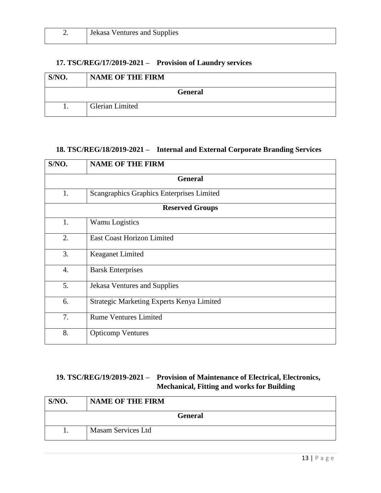| ـ ت | Jekasa Ventures and Supplies |
|-----|------------------------------|
|     |                              |

### **17. TSC/REG/17/2019-2021 – Provision of Laundry services**

| S/NO.          | <b>NAME OF THE FIRM</b> |
|----------------|-------------------------|
| <b>General</b> |                         |
|                | Glerian Limited         |

### **18. TSC/REG/18/2019-2021 – Internal and External Corporate Branding Services**

| S/NO.            | <b>NAME OF THE FIRM</b>                   |  |
|------------------|-------------------------------------------|--|
|                  | <b>General</b>                            |  |
| 1.               | Scangraphics Graphics Enterprises Limited |  |
|                  | <b>Reserved Groups</b>                    |  |
| 1.               | Wamu Logistics                            |  |
| 2.               | <b>East Coast Horizon Limited</b>         |  |
| 3.               | <b>Keaganet Limited</b>                   |  |
| $\overline{4}$ . | <b>Barsk Enterprises</b>                  |  |
| 5.               | Jekasa Ventures and Supplies              |  |
| 6.               | Strategic Marketing Experts Kenya Limited |  |
| 7.               | <b>Rume Ventures Limited</b>              |  |
| 8.               | <b>Opticomp Ventures</b>                  |  |

## **19. TSC/REG/19/2019-2021 – Provision of Maintenance of Electrical, Electronics, Mechanical, Fitting and works for Building**

| S/NO. | <b>NAME OF THE FIRM</b> |
|-------|-------------------------|
|       | <b>General</b>          |
|       | Masam Services Ltd      |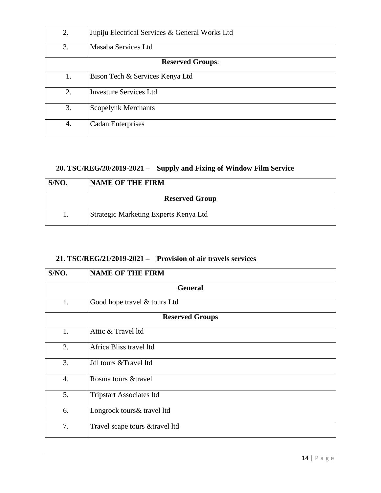| 2.                      | Jupiju Electrical Services & General Works Ltd |
|-------------------------|------------------------------------------------|
| 3.                      | Masaba Services Ltd                            |
| <b>Reserved Groups:</b> |                                                |
| 1.                      | Bison Tech & Services Kenya Ltd                |
| 2.                      | <b>Investure Services Ltd</b>                  |
| 3.                      | <b>Scopelynk Merchants</b>                     |
| 4.                      | <b>Cadan Enterprises</b>                       |

# **20. TSC/REG/20/2019-2021 – Supply and Fixing of Window Film Service**

| S/NO. | <b>NAME OF THE FIRM</b>               |
|-------|---------------------------------------|
|       | <b>Reserved Group</b>                 |
|       | Strategic Marketing Experts Kenya Ltd |

# **21. TSC/REG/21/2019-2021 – Provision of air travels services**

| S/NO.                  | <b>NAME OF THE FIRM</b>         |  |
|------------------------|---------------------------------|--|
|                        | <b>General</b>                  |  |
| 1.                     | Good hope travel & tours Ltd    |  |
| <b>Reserved Groups</b> |                                 |  |
| 1.                     | Attic & Travel ltd              |  |
| 2.                     | Africa Bliss travel ltd         |  |
| 3.                     | Jdl tours & Travel 1td          |  |
| 4.                     | Rosma tours & travel            |  |
| 5.                     | <b>Tripstart Associates ltd</b> |  |
| 6.                     | Longrock tours & travel ltd     |  |
| 7.                     | Travel scape tours & travel ltd |  |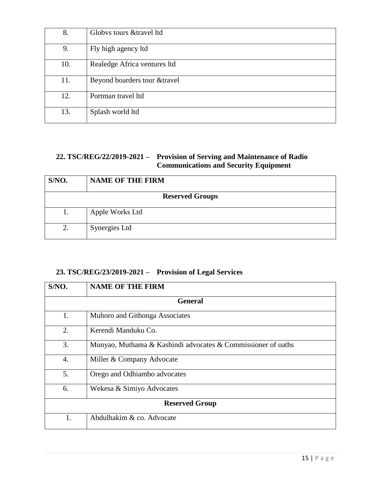| 8.  | Globys tours & travel ltd     |
|-----|-------------------------------|
| 9.  | Fly high agency ltd           |
| 10. | Realedge Africa ventures ltd  |
| 11. | Beyond boarders tour & travel |
| 12. | Portman travel ltd            |
| 13. | Splash world ltd              |

#### **22. TSC/REG/22/2019-2021 – Provision of Serving and Maintenance of Radio Communications and Security Equipment**

| S/NO.                  | <b>NAME OF THE FIRM</b> |
|------------------------|-------------------------|
| <b>Reserved Groups</b> |                         |
|                        | Apple Works Ltd         |
| 2.                     | Synergies Ltd           |

# **23. TSC/REG/23/2019-2021 – Provision of Legal Services**

| S/NO.                 | <b>NAME OF THE FIRM</b>                                      |
|-----------------------|--------------------------------------------------------------|
|                       | <b>General</b>                                               |
| 1.                    | Muhoro and Githonga Associates                               |
| 2.                    | Kerendi Manduku Co.                                          |
| 3.                    | Munyao, Muthama & Kashindi advocates & Commissioner of oaths |
| 4.                    | Miller & Company Advocate                                    |
| 5.                    | Orego and Odhiambo advocates                                 |
| 6.                    | Wekesa & Simiyo Advocates                                    |
| <b>Reserved Group</b> |                                                              |
| 1.                    | Abdulhakim & co. Advocate                                    |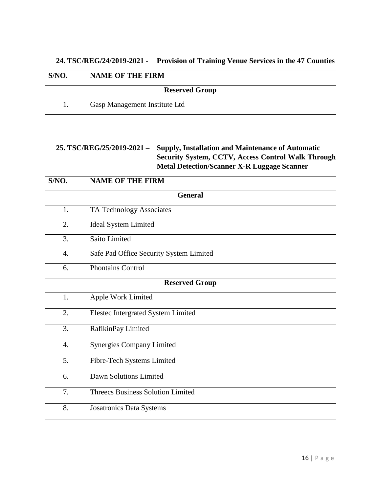#### **24. TSC/REG/24/2019-2021 - Provision of Training Venue Services in the 47 Counties**

| S/NO. | <b>NAME OF THE FIRM</b>       |
|-------|-------------------------------|
|       | <b>Reserved Group</b>         |
|       | Gasp Management Institute Ltd |

### **25. TSC/REG/25/2019-2021 – Supply, Installation and Maintenance of Automatic Security System, CCTV, Access Control Walk Through Metal Detection/Scanner X-R Luggage Scanner**

| S/NO.                 | <b>NAME OF THE FIRM</b>                  |  |
|-----------------------|------------------------------------------|--|
|                       | <b>General</b>                           |  |
| 1.                    | TA Technology Associates                 |  |
| 2.                    | <b>Ideal System Limited</b>              |  |
| 3.                    | Saito Limited                            |  |
| $\overline{4}$ .      | Safe Pad Office Security System Limited  |  |
| 6.                    | <b>Phontains Control</b>                 |  |
| <b>Reserved Group</b> |                                          |  |
| 1.                    | Apple Work Limited                       |  |
| 2.                    | Elestec Intergrated System Limited       |  |
| 3.                    | RafikinPay Limited                       |  |
| $\overline{4}$ .      | <b>Synergies Company Limited</b>         |  |
| 5.                    | Fibre-Tech Systems Limited               |  |
| 6.                    | Dawn Solutions Limited                   |  |
| 7.                    | <b>Threecs Business Solution Limited</b> |  |
| 8.                    | <b>Josatronics Data Systems</b>          |  |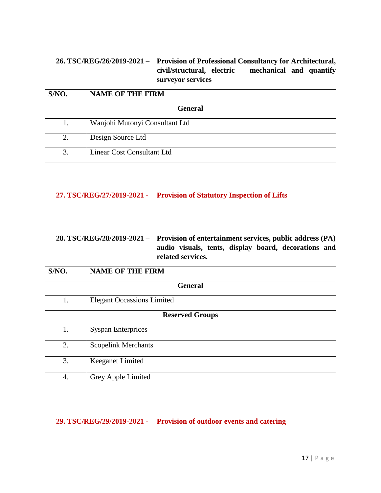## **26. TSC/REG/26/2019-2021 – Provision of Professional Consultancy for Architectural, civil/structural, electric – mechanical and quantify surveyor services**

| S/NO.          | <b>NAME OF THE FIRM</b>        |
|----------------|--------------------------------|
| <b>General</b> |                                |
| 1.             | Wanjohi Mutonyi Consultant Ltd |
| 2.             | Design Source Ltd              |
| 3.             | Linear Cost Consultant Ltd     |

#### **27. TSC/REG/27/2019-2021 - Provision of Statutory Inspection of Lifts**

### **28. TSC/REG/28/2019-2021 – Provision of entertainment services, public address (PA) audio visuals, tents, display board, decorations and related services.**

| S/NO.                  | <b>NAME OF THE FIRM</b>           |  |
|------------------------|-----------------------------------|--|
|                        | <b>General</b>                    |  |
| 1.                     | <b>Elegant Occassions Limited</b> |  |
| <b>Reserved Groups</b> |                                   |  |
| 1.                     | <b>Syspan Enterprices</b>         |  |
| 2.                     | <b>Scopelink Merchants</b>        |  |
| 3.                     | <b>Keeganet Limited</b>           |  |
| 4.                     | Grey Apple Limited                |  |

## **29. TSC/REG/29/2019-2021 - Provision of outdoor events and catering**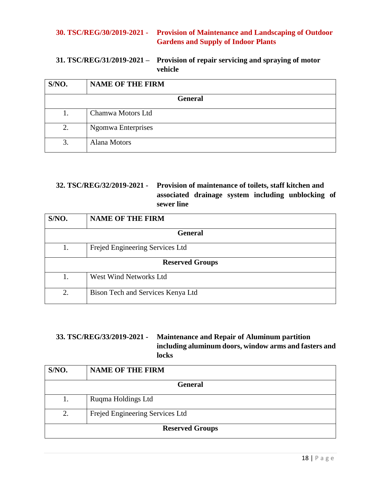#### **30. TSC/REG/30/2019-2021 - Provision of Maintenance and Landscaping of Outdoor Gardens and Supply of Indoor Plants**

#### **31. TSC/REG/31/2019-2021 – Provision of repair servicing and spraying of motor vehicle**

| S/NO.          | <b>NAME OF THE FIRM</b> |
|----------------|-------------------------|
| <b>General</b> |                         |
| 1.             | Chamwa Motors Ltd       |
| 2.             | Ngomwa Enterprises      |
| 3.             | <b>Alana Motors</b>     |

### **32. TSC/REG/32/2019-2021 - Provision of maintenance of toilets, staff kitchen and associated drainage system including unblocking of sewer line**

| S/NO.                  | <b>NAME OF THE FIRM</b>           |  |
|------------------------|-----------------------------------|--|
| <b>General</b>         |                                   |  |
| 1.                     | Frejed Engineering Services Ltd   |  |
| <b>Reserved Groups</b> |                                   |  |
| 1.                     | West Wind Networks Ltd            |  |
| 2.                     | Bison Tech and Services Kenya Ltd |  |

#### **33. TSC/REG/33/2019-2021 - Maintenance and Repair of Aluminum partition including aluminum doors, window arms and fasters and locks**

| S/NO.                  | <b>NAME OF THE FIRM</b>         |  |
|------------------------|---------------------------------|--|
| <b>General</b>         |                                 |  |
| 1.                     | Ruqma Holdings Ltd              |  |
| 2.                     | Frejed Engineering Services Ltd |  |
| <b>Reserved Groups</b> |                                 |  |